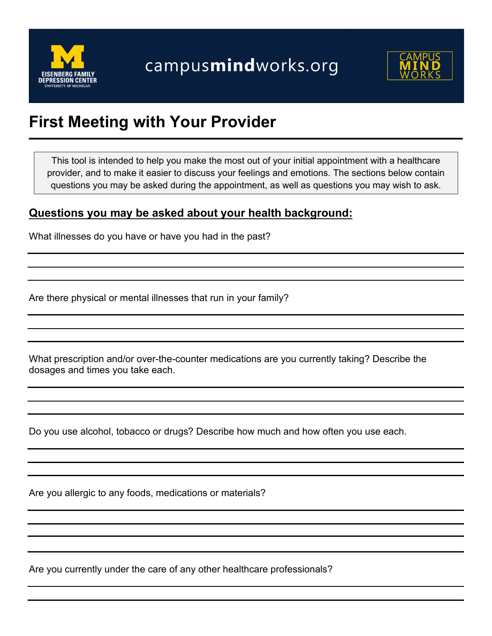



# **First Meeting with Your Provider**

This tool is intended to help you make the most out of your initial appointment with a healthcare provider, and to make it easier to discuss your feelings and emotions. The sections below contain questions you may be asked during the appointment, as well as questions you may wish to ask.

### **Questions you may be asked about your health background:**

What illnesses do you have or have you had in the past?

Are there physical or mental illnesses that run in your family?

What prescription and/or over-the-counter medications are you currently taking? Describe the dosages and times you take each.

Do you use alcohol, tobacco or drugs? Describe how much and how often you use each.

Are you allergic to any foods, medications or materials?

Are you currently under the care of any other healthcare professionals?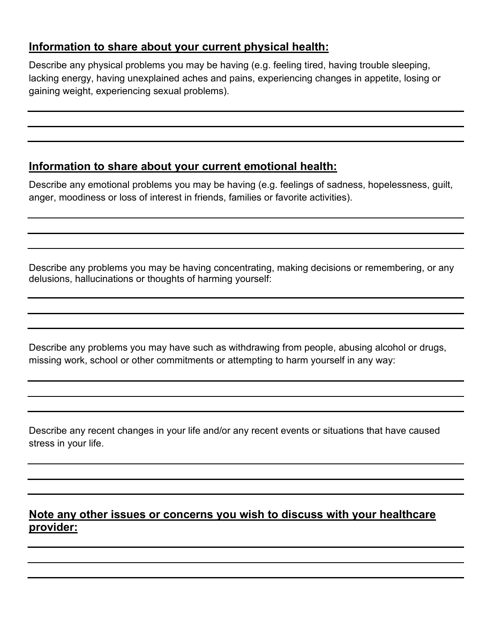## **Information to share about your current physical health:**

Describe any physical problems you may be having (e.g. feeling tired, having trouble sleeping, lacking energy, having unexplained aches and pains, experiencing changes in appetite, losing or gaining weight, experiencing sexual problems).

# **Information to share about your current emotional health:**

Describe any emotional problems you may be having (e.g. feelings of sadness, hopelessness, guilt, anger, moodiness or loss of interest in friends, families or favorite activities).

Describe any problems you may be having concentrating, making decisions or remembering, or any delusions, hallucinations or thoughts of harming yourself:

Describe any problems you may have such as withdrawing from people, abusing alcohol or drugs, missing work, school or other commitments or attempting to harm yourself in any way:

Describe any recent changes in your life and/or any recent events or situations that have caused stress in your life.

# **Note any other issues or concerns you wish to discuss with your healthcare provider:**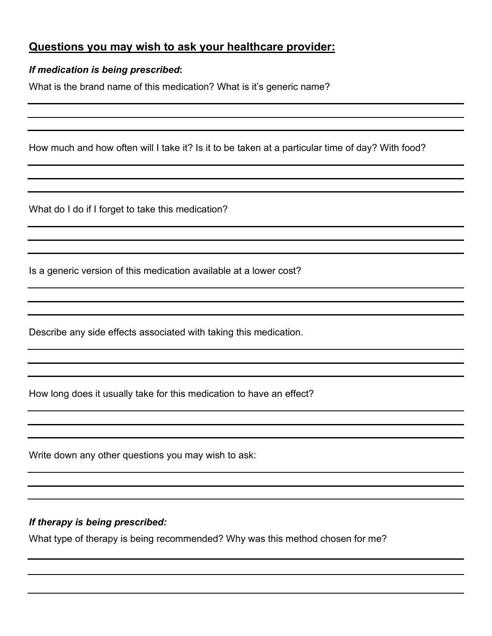## **Questions you may wish to ask your healthcare provider:**

#### *If medication is being prescribed***:**

What is the brand name of this medication? What is it's generic name?

How much and how often will I take it? Is it to be taken at a particular time of day? With food?

What do I do if I forget to take this medication?

Is a generic version of this medication available at a lower cost?

Describe any side effects associated with taking this medication.

How long does it usually take for this medication to have an effect?

Write down any other questions you may wish to ask:

#### *If therapy is being prescribed:*

What type of therapy is being recommended? Why was this method chosen for me?